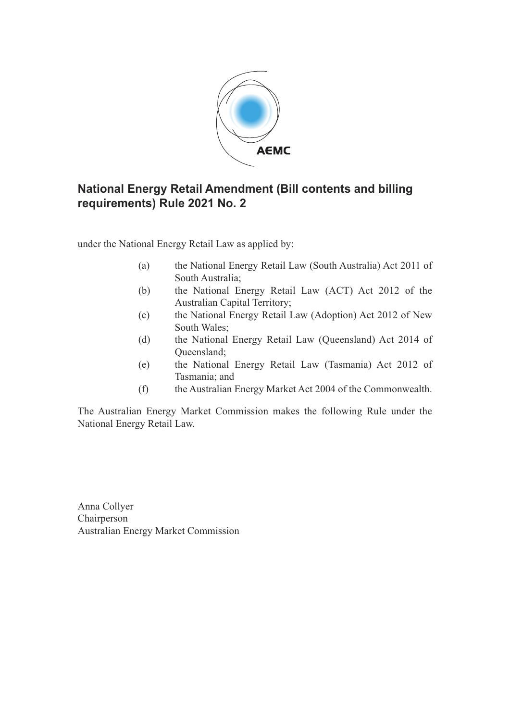

## **National Energy Retail Amendment (Bill contents and billing requirements) Rule 2021 No. 2**

under the National Energy Retail Law as applied by:

- (a) the National Energy Retail Law (South Australia) Act 2011 of South Australia;
- (b) the National Energy Retail Law (ACT) Act 2012 of the Australian Capital Territory;
- (c) the National Energy Retail Law (Adoption) Act 2012 of New South Wales;
- (d) the National Energy Retail Law (Queensland) Act 2014 of Queensland;
- (e) the National Energy Retail Law (Tasmania) Act 2012 of Tasmania; and
- (f) the Australian Energy Market Act 2004 of the Commonwealth.

The Australian Energy Market Commission makes the following Rule under the National Energy Retail Law.

Anna Collyer Chairperson Australian Energy Market Commission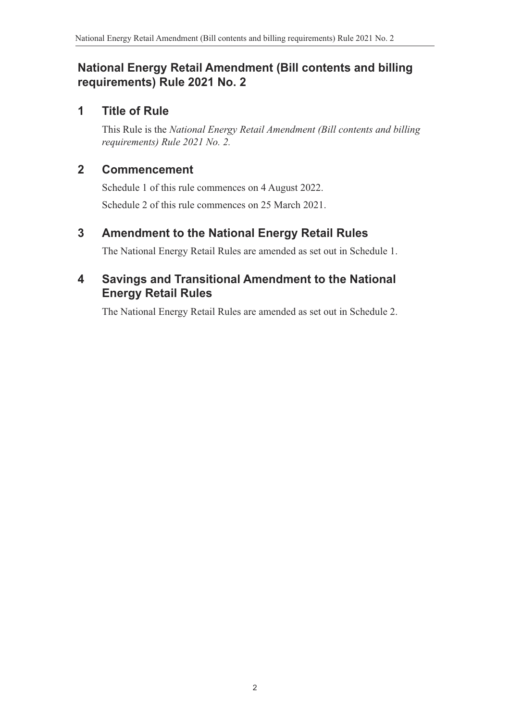# **National Energy Retail Amendment (Bill contents and billing requirements) Rule 2021 No. 2**

### **1 Title of Rule**

This Rule is the *National Energy Retail Amendment (Bill contents and billing requirements) Rule 2021 No. 2.*

## **2 Commencement**

Schedule 1 of this rule commences on 4 August 2022. Schedule 2 of this rule commences on 25 March 2021.

# **3 Amendment to the National Energy Retail Rules**

The National Energy Retail Rules are amended as set out in Schedule 1.

# **4 Savings and Transitional Amendment to the National Energy Retail Rules**

<span id="page-1-0"></span>The National Energy Retail Rules are amended as set out in Schedule 2.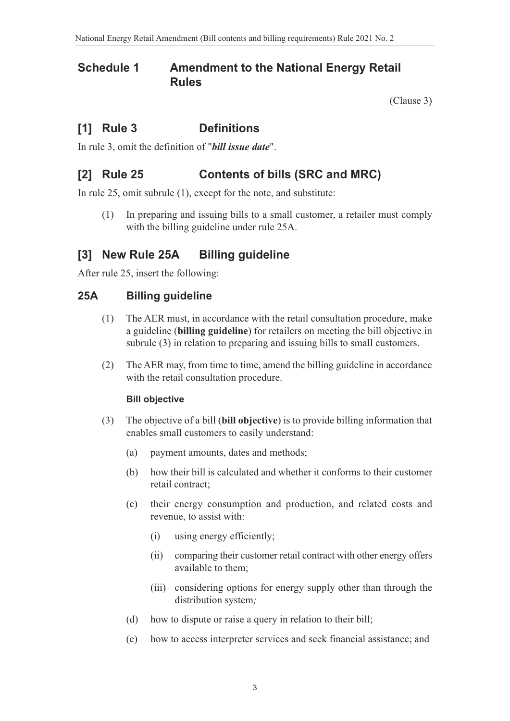### **Schedule 1 Amendment to the National Energy Retail Rules**

(Clause 3)

# **[1] Rule 3 Definitions**

In rule 3, omit the definition of "*bill issue date*".

### **[2] Rule 25 Contents of bills (SRC and MRC)**

In rule 25, omit subrule (1), except for the note, and substitute:

(1) In preparing and issuing bills to a small customer, a retailer must comply with the billing guideline under rule 25A.

### **[3] New Rule 25A Billing guideline**

After rule 25, insert the following:

### **25A Billing guideline**

- (1) The AER must, in accordance with the retail consultation procedure, make a guideline (**billing guideline**) for retailers on meeting the bill objective in subrule (3) in relation to preparing and issuing bills to small customers.
- (2) The AER may, from time to time, amend the billing guideline in accordance with the retail consultation procedure.

#### **Bill objective**

- (3) The objective of a bill (**bill objective**) is to provide billing information that enables small customers to easily understand:
	- (a) payment amounts, dates and methods;
	- (b) how their bill is calculated and whether it conforms to their customer retail contract;
	- (c) their energy consumption and production, and related costs and revenue, to assist with:
		- (i) using energy efficiently;
		- (ii) comparing their customer retail contract with other energy offers available to them;
		- (iii) considering options for energy supply other than through the distribution system*;*
	- (d) how to dispute or raise a query in relation to their bill;
	- (e) how to access interpreter services and seek financial assistance; and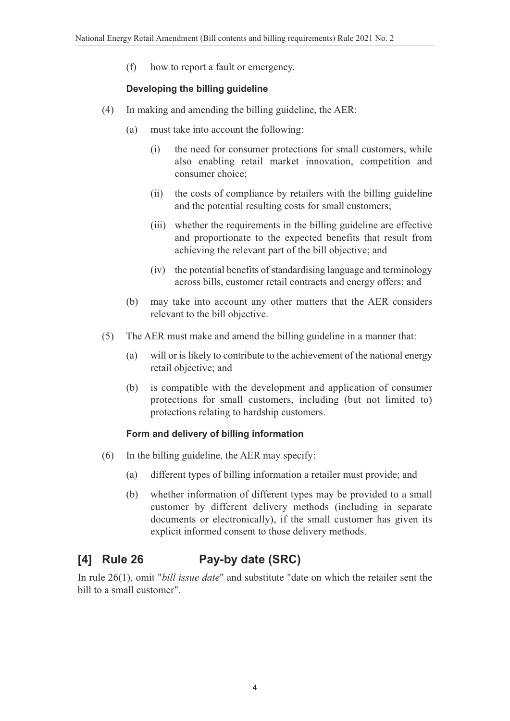(f) how to report a fault or emergency.

### **Developing the billing guideline**

- (4) In making and amending the billing guideline, the AER:
	- (a) must take into account the following:
		- (i) the need for consumer protections for small customers, while also enabling retail market innovation, competition and consumer choice;
		- (ii) the costs of compliance by retailers with the billing guideline and the potential resulting costs for small customers;
		- (iii) whether the requirements in the billing guideline are effective and proportionate to the expected benefits that result from achieving the relevant part of the bill objective; and
		- (iv) the potential benefits of standardising language and terminology across bills, customer retail contracts and energy offers; and
	- (b) may take into account any other matters that the AER considers relevant to the bill objective.
- (5) The AER must make and amend the billing guideline in a manner that:
	- (a) will or is likely to contribute to the achievement of the national energy retail objective; and
	- (b) is compatible with the development and application of consumer protections for small customers, including (but not limited to) protections relating to hardship customers.

### **Form and delivery of billing information**

- (6) In the billing guideline, the AER may specify:
	- (a) different types of billing information a retailer must provide; and
	- (b) whether information of different types may be provided to a small customer by different delivery methods (including in separate documents or electronically), if the small customer has given its explicit informed consent to those delivery methods.

# **[4] Rule 26 Pay-by date (SRC)**

In rule 26(1), omit "*bill issue date*" and substitute "date on which the retailer sent the bill to a small customer".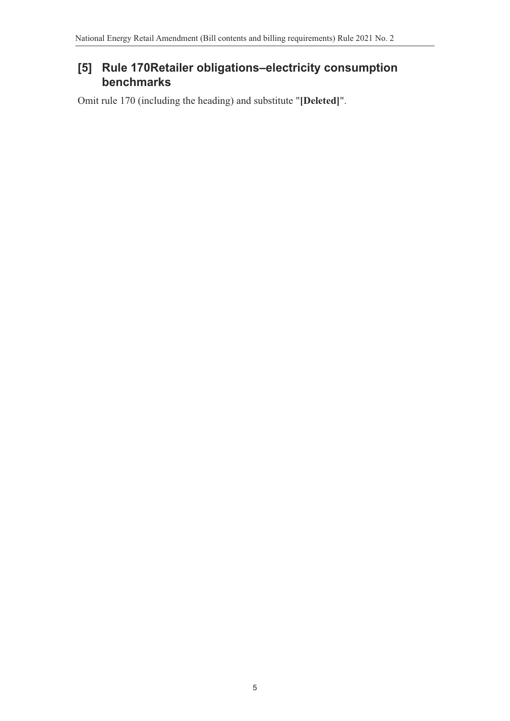# **[5] Rule 170Retailer obligations–electricity consumption benchmarks**

Omit rule 170 (including the heading) and substitute "**[Deleted]**".